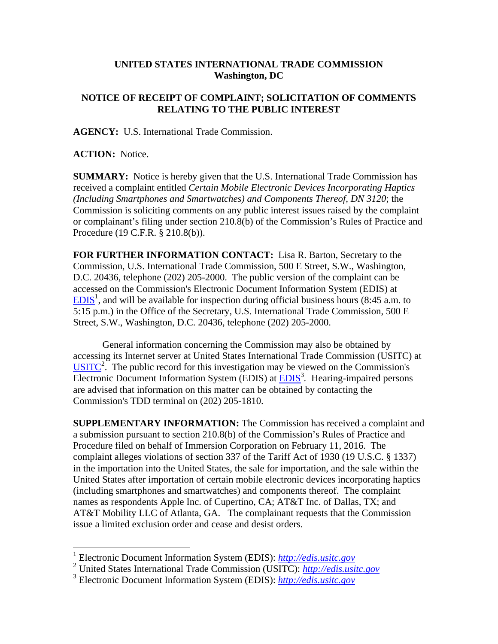## **UNITED STATES INTERNATIONAL TRADE COMMISSION Washington, DC**

## **NOTICE OF RECEIPT OF COMPLAINT; SOLICITATION OF COMMENTS RELATING TO THE PUBLIC INTEREST**

**AGENCY:** U.S. International Trade Commission.

**ACTION:** Notice.

 $\overline{a}$ 

**SUMMARY:** Notice is hereby given that the U.S. International Trade Commission has received a complaint entitled *Certain Mobile Electronic Devices Incorporating Haptics (Including Smartphones and Smartwatches) and Components Thereof, DN 3120*; the Commission is soliciting comments on any public interest issues raised by the complaint or complainant's filing under section 210.8(b) of the Commission's Rules of Practice and Procedure (19 C.F.R. § 210.8(b)).

**FOR FURTHER INFORMATION CONTACT:** Lisa R. Barton, Secretary to the Commission, U.S. International Trade Commission, 500 E Street, S.W., Washington, D.C. 20436, telephone (202) 205-2000. The public version of the complaint can be accessed on the Commission's Electronic Document Information System (EDIS) at  $EDIS<sup>1</sup>$ , and will be available for inspection during official business hours (8:45 a.m. to 5:15 p.m.) in the Office of the Secretary, U.S. International Trade Commission, 500 E Street, S.W., Washington, D.C. 20436, telephone (202) 205-2000.

General information concerning the Commission may also be obtained by accessing its Internet server at United States International Trade Commission (USITC) at  $\overline{\text{USITC}}^2$ . The public record for this investigation may be viewed on the Commission's Electronic Document Information System (EDIS) at **EDIS<sup>3</sup>**. Hearing-impaired persons are advised that information on this matter can be obtained by contacting the Commission's TDD terminal on (202) 205-1810.

**SUPPLEMENTARY INFORMATION:** The Commission has received a complaint and a submission pursuant to section 210.8(b) of the Commission's Rules of Practice and Procedure filed on behalf of Immersion Corporation on February 11, 2016. The complaint alleges violations of section 337 of the Tariff Act of 1930 (19 U.S.C. § 1337) in the importation into the United States, the sale for importation, and the sale within the United States after importation of certain mobile electronic devices incorporating haptics (including smartphones and smartwatches) and components thereof. The complaint names as respondents Apple Inc. of Cupertino, CA; AT&T Inc. of Dallas, TX; and AT&T Mobility LLC of Atlanta, GA. The complainant requests that the Commission issue a limited exclusion order and cease and desist orders.

<sup>1</sup> Electronic Document Information System (EDIS): *http://edis.usitc.gov*

<sup>2</sup> United States International Trade Commission (USITC): *http://edis.usitc.gov*

<sup>3</sup> Electronic Document Information System (EDIS): *http://edis.usitc.gov*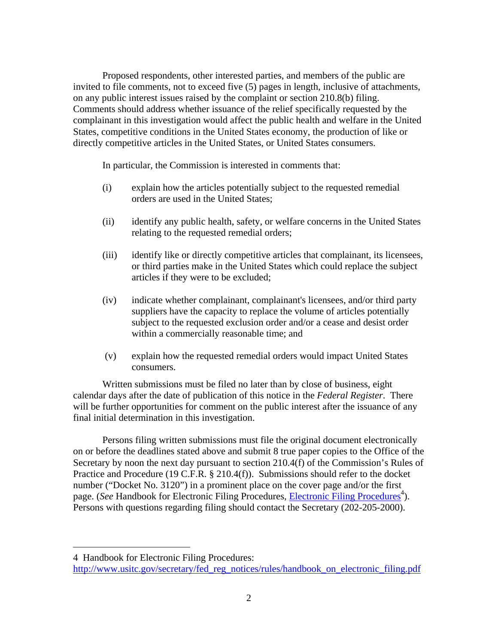Proposed respondents, other interested parties, and members of the public are invited to file comments, not to exceed five (5) pages in length, inclusive of attachments, on any public interest issues raised by the complaint or section 210.8(b) filing. Comments should address whether issuance of the relief specifically requested by the complainant in this investigation would affect the public health and welfare in the United States, competitive conditions in the United States economy, the production of like or directly competitive articles in the United States, or United States consumers.

In particular, the Commission is interested in comments that:

- (i) explain how the articles potentially subject to the requested remedial orders are used in the United States;
- (ii) identify any public health, safety, or welfare concerns in the United States relating to the requested remedial orders;
- (iii) identify like or directly competitive articles that complainant, its licensees, or third parties make in the United States which could replace the subject articles if they were to be excluded;
- (iv) indicate whether complainant, complainant's licensees, and/or third party suppliers have the capacity to replace the volume of articles potentially subject to the requested exclusion order and/or a cease and desist order within a commercially reasonable time; and
- (v) explain how the requested remedial orders would impact United States consumers.

Written submissions must be filed no later than by close of business, eight calendar days after the date of publication of this notice in the *Federal Register*. There will be further opportunities for comment on the public interest after the issuance of any final initial determination in this investigation.

Persons filing written submissions must file the original document electronically on or before the deadlines stated above and submit 8 true paper copies to the Office of the Secretary by noon the next day pursuant to section 210.4(f) of the Commission's Rules of Practice and Procedure (19 C.F.R. § 210.4(f)). Submissions should refer to the docket number ("Docket No. 3120") in a prominent place on the cover page and/or the first page. (*See* Handbook for Electronic Filing Procedures, *Electronic Filing Procedures*<sup>4</sup>). Persons with questions regarding filing should contact the Secretary (202-205-2000).

 $\overline{a}$ 

<sup>4</sup> Handbook for Electronic Filing Procedures:

http://www.usitc.gov/secretary/fed\_reg\_notices/rules/handbook\_on\_electronic\_filing.pdf